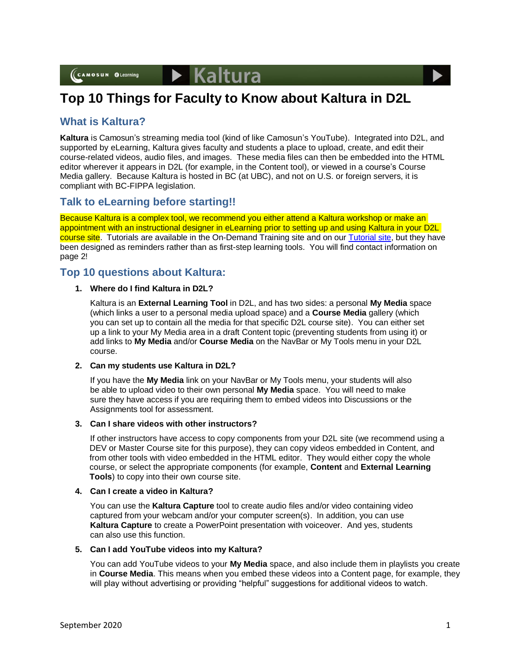



## **What is Kaltura?**

**Kaltura** is Camosun's streaming media tool (kind of like Camosun's YouTube). Integrated into D2L, and supported by eLearning, Kaltura gives faculty and students a place to upload, create, and edit their course-related videos, audio files, and images. These media files can then be embedded into the HTML editor wherever it appears in D2L (for example, in the Content tool), or viewed in a course's Course Media gallery. Because Kaltura is hosted in BC (at UBC), and not on U.S. or foreign servers, it is compliant with BC-FIPPA legislation.

## **Talk to eLearning before starting!!**

Because Kaltura is a complex tool, we recommend you either attend a Kaltura workshop or make an appointment with an instructional designer in eLearning prior to setting up and using Kaltura in your D2L course site. Tutorials are available in the On-Demand Training site and on ou[r Tutorial site,](https://elearningtutorialscamosun.opened.ca/kaltura-tutorials/kaltura-for-students/) but they have been designed as reminders rather than as first-step learning tools. You will find contact information on page 2!

## **Top 10 questions about Kaltura:**

## **1. Where do I find Kaltura in D2L?**

Kaltura is an **External Learning Tool** in D2L, and has two sides: a personal **My Media** space (which links a user to a personal media upload space) and a **Course Media** gallery (which you can set up to contain all the media for that specific D2L course site). You can either set up a link to your My Media area in a draft Content topic (preventing students from using it) or add links to **My Media** and/or **Course Media** on the NavBar or My Tools menu in your D2L course.

## **2. Can my students use Kaltura in D2L?**

If you have the **My Media** link on your NavBar or My Tools menu, your students will also be able to upload video to their own personal **My Media** space. You will need to make sure they have access if you are requiring them to embed videos into Discussions or the Assignments tool for assessment.

#### **3. Can I share videos with other instructors?**

If other instructors have access to copy components from your D2L site (we recommend using a DEV or Master Course site for this purpose), they can copy videos embedded in Content, and from other tools with video embedded in the HTML editor. They would either copy the whole course, or select the appropriate components (for example, **Content** and **External Learning Tools**) to copy into their own course site.

## **4. Can I create a video in Kaltura?**

You can use the **Kaltura Capture** tool to create audio files and/or video containing video captured from your webcam and/or your computer screen(s). In addition, you can use **Kaltura Capture** to create a PowerPoint presentation with voiceover. And yes, students can also use this function.

#### **5. Can I add YouTube videos into my Kaltura?**

You can add YouTube videos to your **My Media** space, and also include them in playlists you create in **Course Media**. This means when you embed these videos into a Content page, for example, they will play without advertising or providing "helpful" suggestions for additional videos to watch.